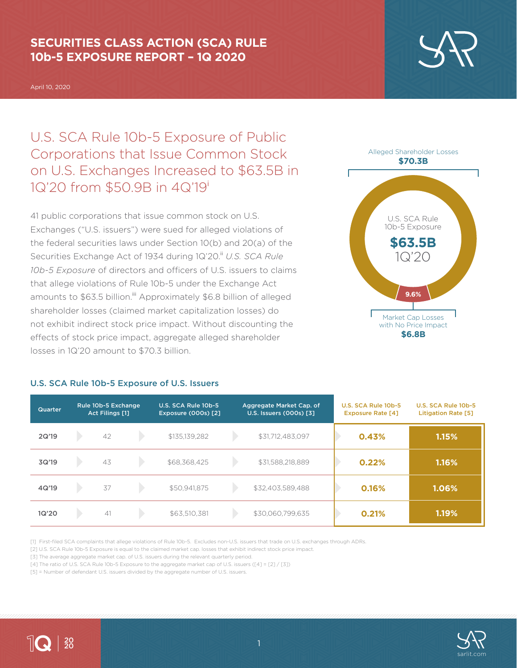# **SECURITIES CLASS ACTION (SCA) RULE 10b-5 EXPOSURE REPORT – 1Q 2020**

April 10, 2020

U.S. SCA Rule 10b-5 Exposure of Public Corporations that Issue Common Stock on U.S. Exchanges Increased to \$63.5B in 1Q'20 from \$50.9B in 4Q'19<sup>i</sup>

41 public corporations that issue common stock on U.S. Exchanges ("U.S. issuers") were sued for alleged violations of the federal securities laws under Section 10(b) and 20(a) of the Securities Exchange Act of 1934 during 1Q'20.<sup>ii</sup> U.S. SCA Rule *10b-5 Exposure* of directors and officers of U.S. issuers to claims that allege violations of Rule 10b-5 under the Exchange Act amounts to \$63.5 billion.<sup>iii</sup> Approximately \$6.8 billion of alleged shareholder losses (claimed market capitalization losses) do not exhibit indirect stock price impact. Without discounting the effects of stock price impact, aggregate alleged shareholder losses in 1Q'20 amount to \$70.3 billion.



#### **\$6.8B**

| Quarter | Rule 10b-5 Exchange<br><b>Act Filings [1]</b> |    | U.S. SCA Rule 10b-5<br><b>Exposure (000s) [2]</b> | Aggregate Market Cap. of<br>U.S. Issuers (000s) [3] |                  | U.S. SCA Rule 10b-5<br><b>Exposure Rate [4]</b> |       | U.S. SCA Rule 10b-5<br><b>Litigation Rate [5]</b> |
|---------|-----------------------------------------------|----|---------------------------------------------------|-----------------------------------------------------|------------------|-------------------------------------------------|-------|---------------------------------------------------|
| 2Q'19   |                                               | 42 | \$135,139,282                                     |                                                     | \$31,712,483,097 |                                                 | 0.43% | 1.15%                                             |
| 3Q'19   |                                               | 43 | \$68,368,425                                      |                                                     | \$31,588,218,889 |                                                 | 0.22% | 1.16%                                             |
| 4Q'19   |                                               | 37 | \$50,941,875                                      |                                                     | \$32,403,589,488 |                                                 | 0.16% | 1.06%                                             |
| 1Q'20   |                                               | 41 | \$63,510,381                                      |                                                     | \$30,060,799,635 |                                                 | 0.21% | 1.19%                                             |

### U.S. SCA Rule 10b-5 Exposure of U.S. Issuers

[1] First-filed SCA complaints that allege violations of Rule 10b-5. Excludes non-U.S. issuers that trade on U.S. exchanges through ADRs.

[2] U.S. SCA Rule 10b-5 Exposure is equal to the claimed market cap. losses that exhibit indirect stock price impact.

[3] The average aggregate market cap. of U.S. issuers during the relevant quarterly period.

[4] The ratio of U.S. SCA Rule 10b-5 Exposure to the aggregate market cap of U.S. issuers ([4] = [2] / [3])

[5] = Number of defendant U.S. issuers divided by the aggregate number of U.S. issuers.



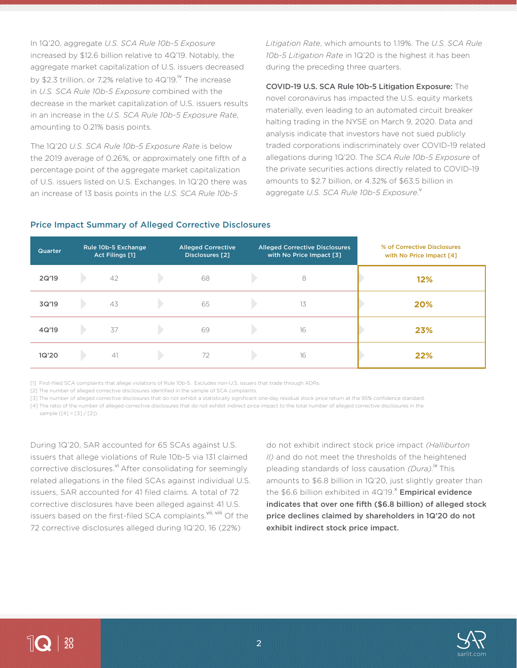In 1Q'20, aggregate *U.S. SCA Rule 10b-5 Exposure* increased by \$12.6 billion relative to 4Q'19. Notably, the aggregate market capitalization of U.S. issuers decreased by \$2.3 trillion, or 7.2% relative to  $4Q'19$ .<sup>iv</sup> The increase in *U.S. SCA Rule 10b-5 Exposure* combined with the decrease in the market capitalization of U.S. issuers results in an increase in the *U.S. SCA Rule 10b-5 Exposure Rate*, amounting to 0.21% basis points.

The 1Q'20 *U.S. SCA Rule 10b-5 Exposure Rate* is below the 2019 average of 0.26%, or approximately one fifth of a percentage point of the aggregate market capitalization of U.S. issuers listed on U.S. Exchanges. In 1Q'20 there was an increase of 13 basis points in the *U.S. SCA Rule 10b-5* 

*Litigation Rate*, which amounts to 1.19%. The *U.S. SCA Rule 10b-5 Litigation Rate* in 1Q'20 is the highest it has been during the preceding three quarters.

COVID-19 U.S. SCA Rule 10b-5 Litigation Exposure: The novel coronavirus has impacted the U.S. equity markets materially, even leading to an automated circuit breaker halting trading in the NYSE on March 9, 2020. Data and analysis indicate that investors have not sued publicly traded corporations indiscriminately over COVID-19 related allegations during 1Q'20. The *SCA Rule 10b-5 Exposure* of the private securities actions directly related to COVID-19 amounts to \$2.7 billion, or 4.32% of \$63.5 billion in aggregate *U.S. SCA Rule 10b-5 Exposure*. v

### Price Impact Summary of Alleged Corrective Disclosures

| Quarter | Rule 10b-5 Exchange<br>Act Filings [1] | <b>Alleged Corrective</b><br><b>Disclosures</b> [2] | <b>Alleged Corrective Disclosures</b><br>with No Price Impact [3] | % of Corrective Disclosures<br>with No Price Impact [4] |
|---------|----------------------------------------|-----------------------------------------------------|-------------------------------------------------------------------|---------------------------------------------------------|
| 2Q'19   | 42                                     | 68                                                  | 8                                                                 | 12%                                                     |
| 3Q'19   | 43                                     | 65                                                  | 13                                                                | 20%                                                     |
| 4Q'19   | 37                                     | 69                                                  | 16                                                                | 23%                                                     |
| 1Q'20   | 41                                     | 72                                                  | 16                                                                | 22%                                                     |

[1] First-filed SCA complaints that allege violations of Rule 10b-5. Excludes non-U.S. issuers that trade through ADRs.

[2] The number of alleged corrective disclosures identified in the sample of SCA complaints.

[3] The number of alleged corrective disclosures that do not exhibit a statistically significant one-day residual stock price return at the 95% confidence standard.

[4] The ratio of the number of alleged corrective disclosures that do not exhibit indirect price impact to the total number of alleged corrective disclosures in the

sample  $(141 = 131 / 121)$ .

During 1Q'20, SAR accounted for 65 SCAs against U.S. issuers that allege violations of Rule 10b-5 via 131 claimed corrective disclosures.<sup>vi</sup> After consolidating for seemingly related allegations in the filed SCAs against individual U.S. issuers, SAR accounted for 41 filed claims. A total of 72 corrective disclosures have been alleged against 41 U.S. issuers based on the first-filed SCA complaints.<sup>vii, viii</sup> Of the 72 corrective disclosures alleged during 1Q'20, 16 (22%)

do not exhibit indirect stock price impact *(Halliburton II)* and do not meet the thresholds of the heightened pleading standards of loss causation *(Dura).*ix This amounts to \$6.8 billion in 1Q'20, just slightly greater than the \$6.6 billion exhibited in  $4Q'19$ .<sup>x</sup> Empirical evidence indicates that over one fifth (\$6.8 billion) of alleged stock price declines claimed by shareholders in 1Q'20 do not exhibit indirect stock price impact.

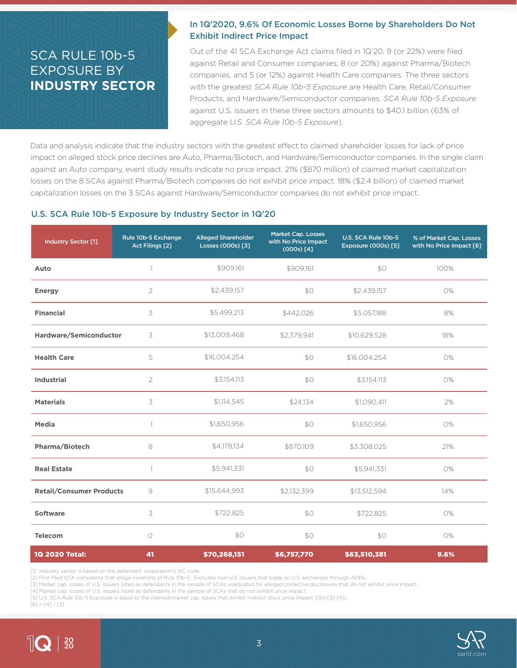# SCA RULE 10b-5 EXPOSURE BY **INDUSTRY SECTOR**

## In 1Q'2020, 9.6% Of Economic Losses Borne by Shareholders Do Not Exhibit Indirect Price Impact

Out of the 41 SCA Exchange Act claims filed in 1Q'20, 9 (or 22%) were filed against Retail and Consumer companies, 8 (or 20%) against Pharma/Biotech companies, and 5 (or 12%) against Health Care companies. The three sectors with the greatest *SCA Rule 10b-5 Exposure* are Health Care, Retail/Consumer Products, and Hardware/Semiconductor companies. *SCA Rule 10b-5 Exposure* against U.S. issuers in these three sectors amounts to \$40.1 billion (63% of aggregate *U.S. SCA Rule 10b-5 Exposure*).

Data and analysis indicate that the industry sectors with the greatest effect to claimed shareholder losses for lack of price impact on alleged stock price declines are Auto, Pharma/Biotech, and Hardware/Semiconductor companies. In the single claim against an Auto company, event study results indicate no price impact. 21% (\$870 million) of claimed market capitalization losses on the 8 SCAs against Pharma/Biotech companies do not exhibit price impact. 18% (\$2.4 billion) of claimed market capitalization losses on the 3 SCAs against Hardware/Semiconductor companies do not exhibit price impact.

#### U.S. SCA Rule 10b-5 Exposure by Industry Sector in 1Q'20

| Industry Sector [1]             | Rule 10b-5 Exchange<br>Act Filings [2] | <b>Alleged Shareholder</b><br>Losses (000s) [3] | <b>Market Cap. Losses</b><br>with No Price Impact<br>(000s) [4] | U.S. SCA Rule 10b-5<br>Exposure (000s) [5] | % of Market Cap. Losses<br>with No Price Impact [6] |
|---------------------------------|----------------------------------------|-------------------------------------------------|-----------------------------------------------------------------|--------------------------------------------|-----------------------------------------------------|
| Auto                            |                                        | \$909,161                                       | \$909,161                                                       | \$0                                        | 100%                                                |
| <b>Energy</b>                   | $\overline{2}$                         | \$2,439,157                                     | \$0                                                             | \$2,439,157                                | 0%                                                  |
| <b>Financial</b>                | 3                                      | \$5,499,213                                     | \$442,026                                                       | \$5,057,188                                | 8%                                                  |
| Hardware/Semiconductor          | 3                                      | \$13,009,468                                    | \$2.379.941                                                     | \$10,629,528                               | 18%                                                 |
| <b>Health Care</b>              | 5                                      | \$16,004,254                                    | \$0                                                             | \$16,004,254                               | 0%                                                  |
| <b>Industrial</b>               | $\overline{2}$                         | \$3,154,113                                     | \$0                                                             | \$3,154,113                                | 0%                                                  |
| <b>Materials</b>                | 3                                      | \$1,114,545                                     | \$24,134                                                        | \$1,090,411                                | 2%                                                  |
| <b>Media</b>                    | 1                                      | \$1,650,956                                     | \$0                                                             | \$1,650,956                                | 0%                                                  |
| Pharma/Biotech                  | 8                                      | \$4,178,134                                     | \$870,109                                                       | \$3,308,025                                | 21%                                                 |
| <b>Real Estate</b>              |                                        | \$5,941,331                                     | \$0                                                             | \$5,941,331                                | 0%                                                  |
| <b>Retail/Consumer Products</b> | $\circ$                                | \$15,644,993                                    | \$2,132,399                                                     | \$13,512,594                               | 14%                                                 |
| <b>Software</b>                 | 3                                      | \$722,825                                       | \$0                                                             | \$722,825                                  | 0%                                                  |
| <b>Telecom</b>                  | $\circ$                                | \$0                                             | \$0                                                             | \$0                                        | 0%                                                  |
| 1Q 2020 Total:                  | 41                                     | \$70,268,151                                    | \$6,757,770                                                     | \$63,510,381                               | 9.6%                                                |

[1] Industry sector is based on the defendant corporation's SIC code.

[2] First-filed SCA complaints that allege violations of Rule 10b-5. Excludes non-U.S. issuers that trade on U.S. exchanges through ADRs.

[3] Market cap. losses of U.S. issuers listed as defendants in the sample of SCAs unadjusted for alleged corrective disclosures that do not exhibit price impact.

[4] Market cap. losses of U.S. issuers listed as defendants in the sample of SCAs that do not exhibit price impact.

[5] U.S. SCA Rule 10b-5 Exposure is equal to the claimed market cap. losses that exhibit indirect stock price impact ([5]=[3]-[4]).  $[6] = [4]/[3]$ 



 $\sqrt{2}$   $\frac{20}{20}$ 

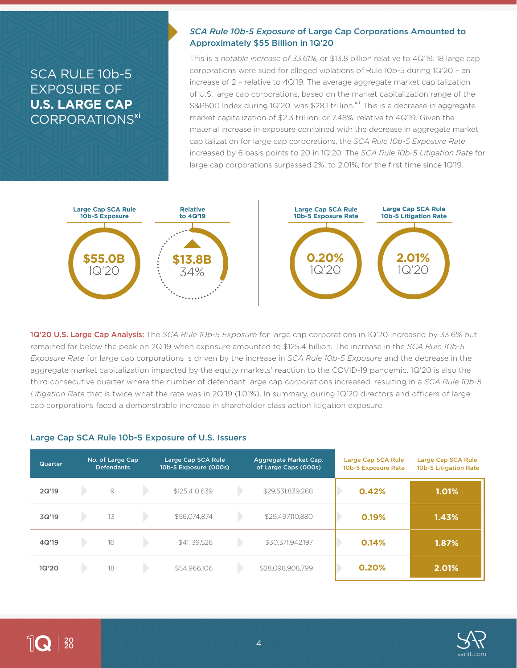# SCA RULE 10b-5 EXPOSURE OF **U.S. LARGE CAP** CORPORATIONS<sup>xi</sup>

### *SCA Rule 10b-5 Exposure* of Large Cap Corporations Amounted to Approximately \$55 Billion in 1Q'20

This is a *notable increase of 33.61%*, or \$13.8 billion relative to 4Q'19. 18 large cap corporations were sued for alleged violations of Rule 10b-5 during 1Q'20 – an increase of 2 – relative to 4Q'19. The average aggregate market capitalization of U.S. large cap corporations, based on the market capitalization range of the S&P500 Index during 1Q'20, was \$28.1 trillion.<sup>xii</sup> This is a decrease in aggregate market capitalization of \$2.3 trillion. or 7.48%, relative to 4Q'19. Given the material increase in exposure combined with the decrease in aggregate market capitalization for large cap corporations, the *SCA Rule 10b-5 Exposure Rate* increased by 6 basis points to 20 in 1Q'20. The *SCA Rule 10b-5 Litigation Rate* for large cap corporations surpassed 2%, to 2.01%, for the first time since 1Q'19.



1Q'20 U.S. Large Cap Analysis: The *SCA Rule 10b-5 Exposure* for large cap corporations in 1Q'20 increased by 33.6% but remained far below the peak on 2Q'19 when exposure amounted to \$125.4 billion. The increase in the *SCA Rule 10b-5 Exposure Rate* for large cap corporations is driven by the increase in *SCA Rule 10b-5 Exposure* and the decrease in the aggregate market capitalization impacted by the equity markets' reaction to the COVID-19 pandemic. 1Q'20 is also the third consecutive quarter where the number of defendant large cap corporations increased, resulting in a *SCA Rule 10b-5 Litigation Rate* that is twice what the rate was in 2Q'19 (1.01%). In summary, during 1Q'20 directors and officers of large cap corporations faced a demonstrable increase in shareholder class action litigation exposure.

#### Large Cap SCA Rule 10b-5 Exposure of U.S. Issuers

| Quarter | No. of Large Cap<br><b>Defendants</b> | Large Cap SCA Rule<br>10b-5 Exposure (000s) | Aggregate Market Cap.<br>of Large Caps (000s) | Large Cap SCA Rule<br>10b-5 Exposure Rate | Large Cap SCA Rule<br>10b-5 Litigation Rate |
|---------|---------------------------------------|---------------------------------------------|-----------------------------------------------|-------------------------------------------|---------------------------------------------|
| 2Q'19   | $\mathcal{Q}$                         | \$125,410,639                               | \$29,531,839,268                              | 0.42%                                     | $1.01\%$                                    |
| 3Q'19   | 13                                    | \$56,074,874                                | \$29,497,110,880                              | 0.19%                                     | 1.43%                                       |
| 4Q'19   | 16                                    | \$41,139,526                                | \$30,371,942,197                              | 0.14%                                     | 1.87%                                       |
| 1Q'20   | 18                                    | \$54,966,106                                | \$28,098,908,799                              | 0.20%                                     | 2.01%                                       |

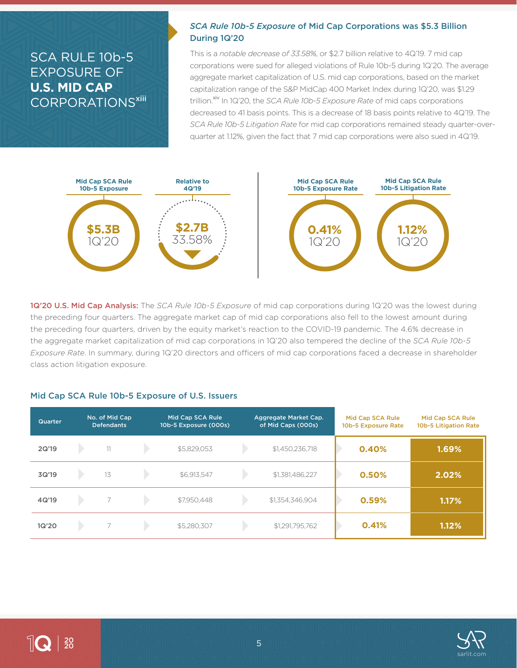# SCA RULE 10b-5 EXPOSURE OF **U.S. MID CAP** CORPORATIONS<sup>xiii</sup>

### *SCA Rule 10b-5 Exposure* of Mid Cap Corporations was \$5.3 Billion During 1Q'20

This is a *notable decrease of 33.58%*, or \$2.7 billion relative to 4Q'19. 7 mid cap corporations were sued for alleged violations of Rule 10b-5 during 1Q'20. The average aggregate market capitalization of U.S. mid cap corporations, based on the market capitalization range of the S&P MidCap 400 Market Index during 1Q'20, was \$1.29 trillion.<sup>xiv</sup> In 1Q'20, the *SCA Rule 10b-5 Exposure Rate* of mid caps corporations decreased to 41 basis points. This is a decrease of 18 basis points relative to 4Q'19. The *SCA Rule 10b-5 Litigation Rate* for mid cap corporations remained steady quarter-overquarter at 1.12%, given the fact that 7 mid cap corporations were also sued in 4Q'19.



1Q'20 U.S. Mid Cap Analysis: The *SCA Rule 10b-5 Exposure* of mid cap corporations during 1Q'20 was the lowest during the preceding four quarters. The aggregate market cap of mid cap corporations also fell to the lowest amount during the preceding four quarters, driven by the equity market's reaction to the COVID-19 pandemic. The 4.6% decrease in the aggregate market capitalization of mid cap corporations in 1Q'20 also tempered the decline of the *SCA Rule 10b-5 Exposure Rate*. In summary, during 1Q'20 directors and officers of mid cap corporations faced a decrease in shareholder class action litigation exposure.

#### Mid Cap SCA Rule 10b-5 Exposure of U.S. Issuers

| Quarter | No. of Mid Cap<br><b>Defendants</b> | Mid Cap SCA Rule<br>10b-5 Exposure (000s) | Aggregate Market Cap.<br>of Mid Caps (000s) | Mid Cap SCA Rule<br>10b-5 Exposure Rate | Mid Cap SCA Rule<br>10b-5 Litigation Rate |
|---------|-------------------------------------|-------------------------------------------|---------------------------------------------|-----------------------------------------|-------------------------------------------|
| 2Q'19   | $11 -$                              | \$5,829,053                               | \$1,450,236,718                             | 0.40%                                   | 1.69%                                     |
| 3Q'19   | 13                                  | \$6,913,547                               | \$1,381,486,227                             | 0.50%                                   | 2.02%                                     |
| 4Q'19   | $\overline{7}$                      | \$7,950,448                               | \$1,354,346,904                             | 0.59%                                   | $1.17\%$                                  |
| 1Q'20   | $\overline{\phantom{1}}$            | \$5,280,307                               | \$1,291,795,762                             | 0.41%                                   | 1.12%                                     |

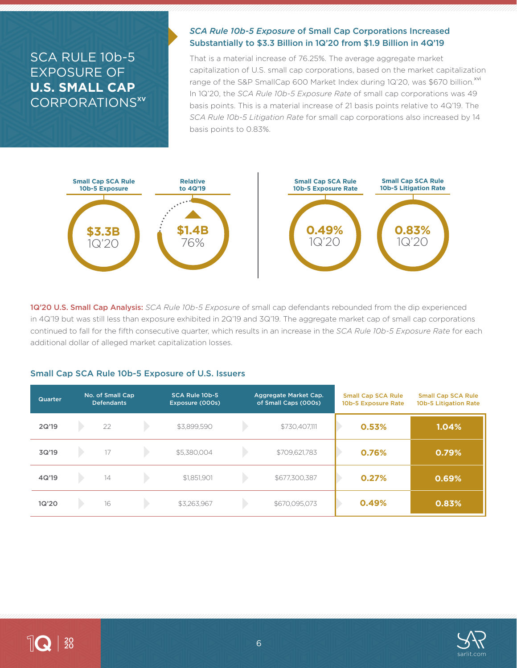# SCA RULE 10b-5 EXPOSURE OF **U.S. SMALL CAP** CORPORATIONS<sup>xv</sup>

## *SCA Rule 10b-5 Exposure* of Small Cap Corporations Increased Substantially to \$3.3 Billion in 1Q'20 from \$1.9 Billion in 4Q'19

That is a material increase of 76.25%. The average aggregate market capitalization of U.S. small cap corporations, based on the market capitalization range of the S&P SmallCap 600 Market Index during 1Q'20, was \$670 billion.<sup>xvi</sup> In 1Q'20, the *SCA Rule 10b-5 Exposure Rate* of small cap corporations was 49 basis points. This is a material increase of 21 basis points relative to 4Q'19. The *SCA Rule 10b-5 Litigation Rate* for small cap corporations also increased by 14 basis points to 0.83%.



1Q'20 U.S. Small Cap Analysis: *SCA Rule 10b-5 Exposure* of small cap defendants rebounded from the dip experienced in 4Q'19 but was still less than exposure exhibited in 2Q'19 and 3Q'19. The aggregate market cap of small cap corporations continued to fall for the fifth consecutive quarter, which results in an increase in the *SCA Rule 10b-5 Exposure Rate* for each additional dollar of alleged market capitalization losses.

### Small Cap SCA Rule 10b-5 Exposure of U.S. Issuers

| <b>Quarter</b> | No. of Small Cap<br><b>Defendants</b> | SCA Rule 10b-5<br>Exposure (000s) | Aggregate Market Cap.<br>of Small Caps (000s) | <b>Small Cap SCA Rule</b><br>10b-5 Exposure Rate | <b>Small Cap SCA Rule</b><br>10b-5 Litigation Rate |
|----------------|---------------------------------------|-----------------------------------|-----------------------------------------------|--------------------------------------------------|----------------------------------------------------|
| 2Q'19          | 22                                    | \$3,899,590                       | \$730,407,111                                 | 0.53%                                            | 1.04%                                              |
| 3Q'19          | 17                                    | \$5,380,004                       | \$709,621,783                                 | 0.76%                                            | 0.79%                                              |
| 4Q'19          | 14                                    | \$1,851,901                       | \$677,300,387                                 | 0.27%                                            | 0.69%                                              |
| 1Q'20          | 16                                    | \$3,263,967                       | \$670,095,073                                 | 0.49%                                            | 0.83%                                              |

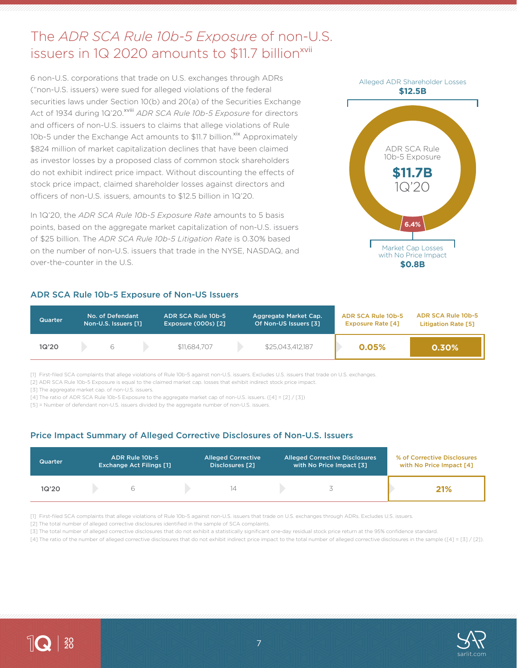# The *ADR SCA Rule 10b-5 Exposure* of non-U.S. issuers in 1Q 2020 amounts to \$11.7 billion<sup>xvii</sup>

6 non-U.S. corporations that trade on U.S. exchanges through ADRs ("non-U.S. issuers) were sued for alleged violations of the federal securities laws under Section 10(b) and 20(a) of the Securities Exchange Act of 1934 during 1Q'20.<sup>xviii</sup> *ADR SCA Rule 10b-5 Exposure* for directors and officers of non-U.S. issuers to claims that allege violations of Rule 10b-5 under the Exchange Act amounts to \$11.7 billion.<sup>xix</sup> Approximately \$824 million of market capitalization declines that have been claimed as investor losses by a proposed class of common stock shareholders do not exhibit indirect price impact. Without discounting the effects of stock price impact, claimed shareholder losses against directors and officers of non-U.S. issuers, amounts to \$12.5 billion in 1Q'20.

In 1Q'20, the *ADR SCA Rule 10b-5 Exposure Rate* amounts to 5 basis points, based on the aggregate market capitalization of non-U.S. issuers of \$25 billion. The *ADR SCA Rule 10b-5 Litigation Rate* is 0.30% based on the number of non-U.S. issuers that trade in the NYSE, NASDAQ, and over-the-counter in the U.S.

### ADR SCA Rule 10b-5 Exposure of Non-US Issuers



| <b>Quarter</b> | No. of Defendant<br>Non-U.S. Issuers [1] |  | ADR SCA Rule 10b-5<br><b>Exposure (000s) [2]</b> |  | Aggregate Market Cap.<br>Of Non-US Issuers [3] | ADR SCA Rule 10b-5<br><b>Exposure Rate [4]</b> | ADR SCA Rule 10b-5<br>Litigation Rate [5] |
|----------------|------------------------------------------|--|--------------------------------------------------|--|------------------------------------------------|------------------------------------------------|-------------------------------------------|
| 1Q'20          |                                          |  | \$11,684,707                                     |  | \$25.043.412.187                               | 0.05%                                          | 0.30%                                     |

[1] First-filed SCA complaints that allege violations of Rule 10b-5 against non-U.S. issuers. Excludes U.S. issuers that trade on U.S. exchanges.

[2] ADR SCA Rule 10b-5 Exposure is equal to the claimed market cap. losses that exhibit indirect stock price impact.

[3] The aggregate market cap. of non-U.S. issuers.

[4] The ratio of ADR SCA Rule 10b-5 Exposure to the aggregate market cap of non-U.S. issuers. ([4] = [2] / [3])

[5] = Number of defendant non-U.S. issuers divided by the aggregate number of non-U.S. issuers.

## Price Impact Summary of Alleged Corrective Disclosures of Non-U.S. Issuers

| <b>Quarter</b> | ADR Rule 10b-5<br><b>Exchange Act Filings [1]</b> | <b>Alleged Corrective</b><br>Disclosures [2] | <b>Alleged Corrective Disclosures</b><br>with No Price Impact [3] | % of Corrective Disclosures<br>with No Price Impact [4] |
|----------------|---------------------------------------------------|----------------------------------------------|-------------------------------------------------------------------|---------------------------------------------------------|
| 1Q'20          |                                                   |                                              |                                                                   | 21%                                                     |

[1] First-filed SCA complaints that allege violations of Rule 10b-5 against non-U.S. issuers that trade on U.S. exchanges through ADRs. Excludes U.S. issuers.

[2] The total number of alleged corrective disclosures identified in the sample of SCA complaints.

[3] The total number of alleged corrective disclosures that do not exhibit a statistically significant one-day residual stock price return at the 95% confidence standard.

[4] The ratio of the number of alleged corrective disclosures that do not exhibit indirect price impact to the total number of alleged corrective disclosures in the sample ([4] = [3] / [2]).